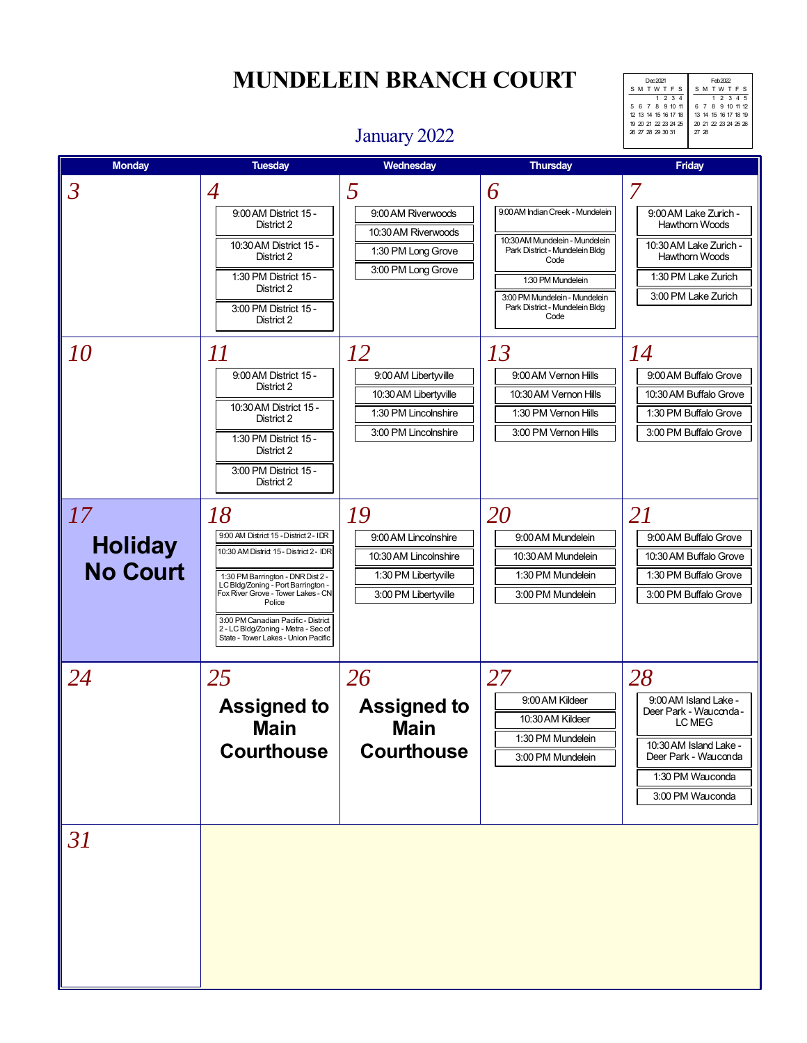SM TWT FS 1 2 345 6 7 8 9 10 11 12 13 14 15 16 17 18 19 20 21 22 23 24 25 26  $\frac{27}{27}$ Dec 2021 SM TWT F S 1 234 5 6 7 8 9 10 11 12 13 14 15 16 17 18 19 20 21 22 23 24 25 26 27 28 29 30 31

### January 2022

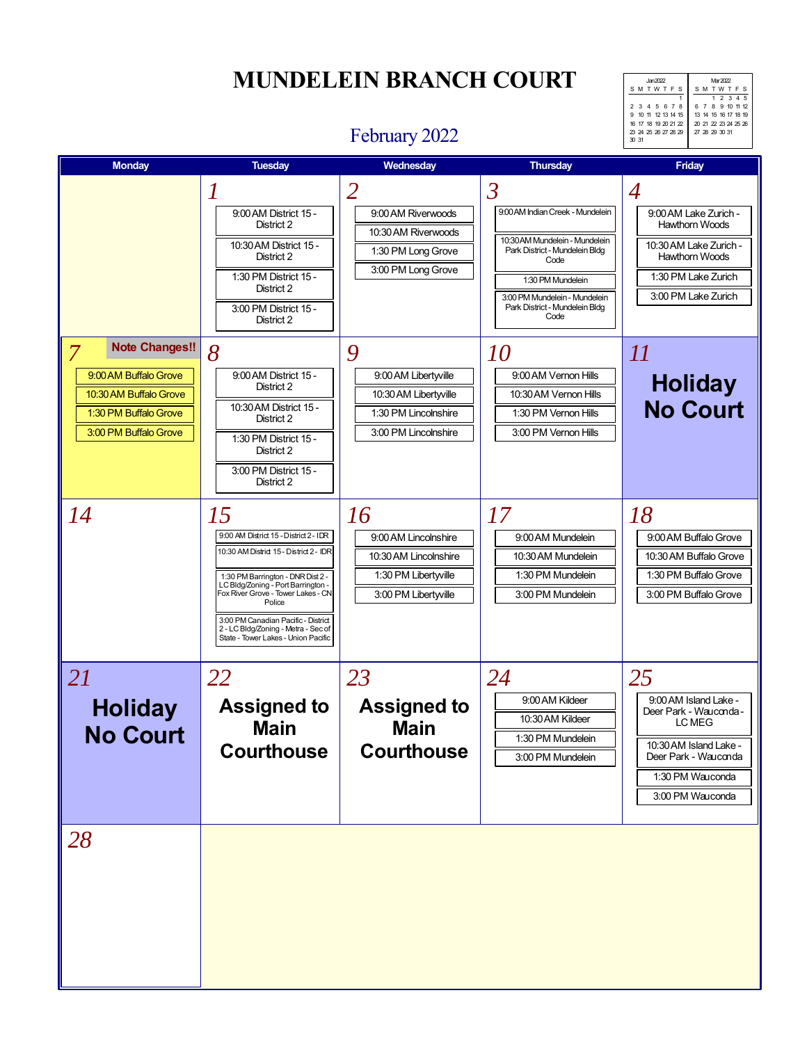# **MUNDELEIN BRANCH COURT** MARK MARK

SM TWT FS 1 2 345 6 7 8 9 10 11 12 13 14 15 16 17 18 19 20 21 22 23 24 25 26 27 28 29 30 31 Jan 2022 SM TWTF 1 2 3 4 5 678 9 10 11 12 13 14 15 16 17 18 19 20 21 22 23 24 25 26 27 28 29 30 31

### February 2022

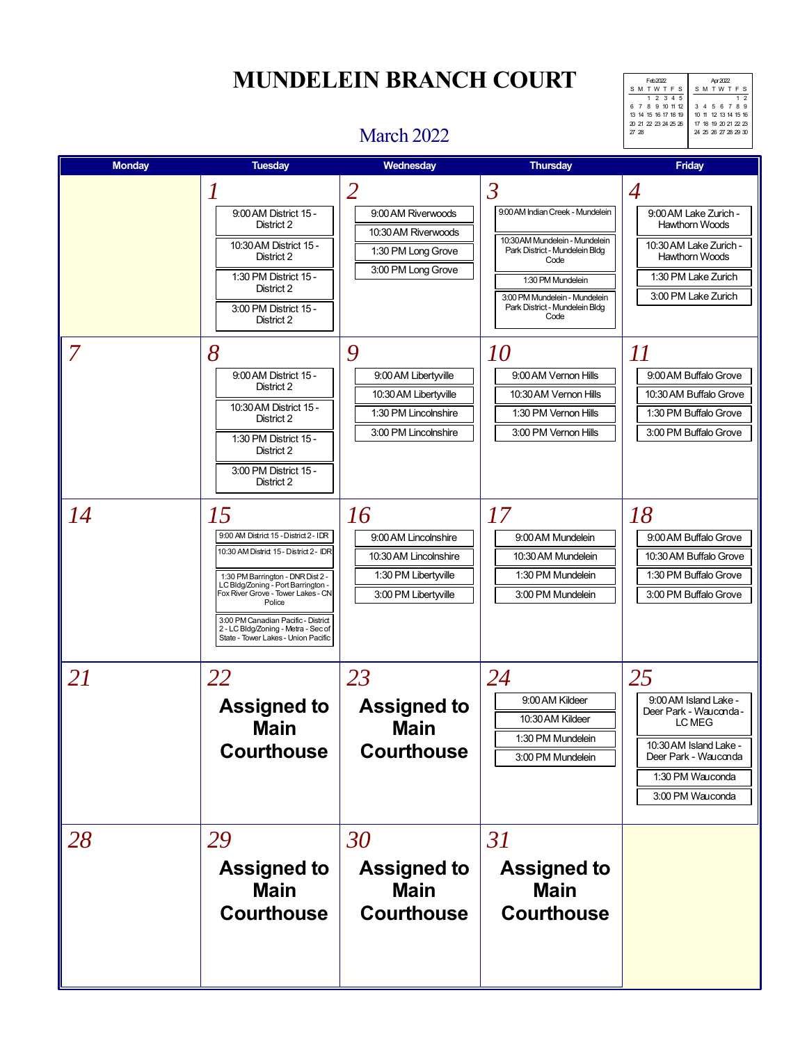S M T W T F 1 2 3 4 5 6 789 10 11 12 13 14 15 16 17 18 19 20 21 22 23 24 25 26 27 28 29 30 Feb 2022 SM TWT F S 1 2 345 6 7 8 9 10 11 12 13 14 15 16 17 18 19 20 21 22 23 24 25 26 27 28

### March 2022

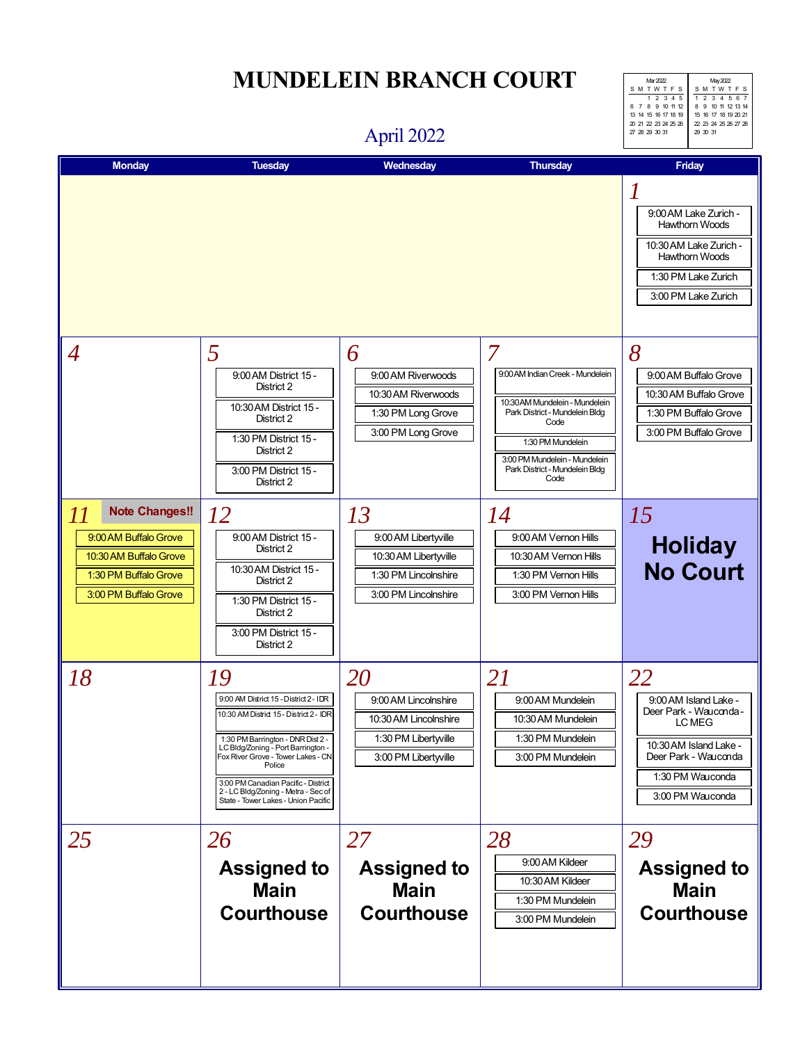### April 2022



| <b>Monday</b>                                                                                                                    | <b>Tuesday</b>                                                                                                                                                                                                                                                                                                                                 | Wednesday                                                                                           | <b>Thursday</b>                                                                                                                                                                                                   | <b>Friday</b>                                                                                                                                             |
|----------------------------------------------------------------------------------------------------------------------------------|------------------------------------------------------------------------------------------------------------------------------------------------------------------------------------------------------------------------------------------------------------------------------------------------------------------------------------------------|-----------------------------------------------------------------------------------------------------|-------------------------------------------------------------------------------------------------------------------------------------------------------------------------------------------------------------------|-----------------------------------------------------------------------------------------------------------------------------------------------------------|
|                                                                                                                                  |                                                                                                                                                                                                                                                                                                                                                |                                                                                                     |                                                                                                                                                                                                                   | 9:00 AM Lake Zurich -<br><b>Hawthorn Woods</b><br>10:30 AM Lake Zurich -<br><b>Hawthorn Woods</b><br>1:30 PM Lake Zurich<br>3:00 PM Lake Zurich           |
| $\overline{4}$                                                                                                                   | 5<br>9:00 AM District 15 -<br>District 2<br>10:30 AM District 15 -<br>District 2<br>1:30 PM District 15 -<br>District 2<br>3:00 PM District 15 -<br>District 2                                                                                                                                                                                 | 6<br>9:00 AM Riverwoods<br>10:30 AM Riverwoods<br>1:30 PM Long Grove<br>3:00 PM Long Grove          | 7<br>9:00 AM Indian Creek - Mundelein<br>10:30 AM Mundelein - Mundelein<br>Park District - Mundelein Bldg<br>Code<br>1:30 PM Mundelein<br>3:00 PM Mundelein - Mundelein<br>Park District - Mundelein Bldg<br>Code | 8<br>9:00 AM Buffalo Grove<br>10:30 AM Buffalo Grove<br>1:30 PM Buffalo Grove<br>3:00 PM Buffalo Grove                                                    |
| <b>Note Changes!!</b><br>11<br>9:00 AM Buffalo Grove<br>10:30 AM Buffalo Grove<br>1:30 PM Buffalo Grove<br>3:00 PM Buffalo Grove | 12<br>9:00 AM District 15 -<br>District 2<br>10:30 AM District 15 -<br>District 2<br>1:30 PM District 15 -<br>District 2<br>3:00 PM District 15 -<br>District 2                                                                                                                                                                                | 13<br>9:00 AM Libertyville<br>10:30 AM Libertyville<br>1:30 PM Lincolnshire<br>3:00 PM Lincolnshire | 14<br>9:00 AM Vernon Hills<br>10:30 AM Vernon Hills<br>1:30 PM Vernon Hills<br>3:00 PM Vernon Hills                                                                                                               | 15<br><b>Holiday</b><br><b>No Court</b>                                                                                                                   |
| 18                                                                                                                               | <i>19</i><br>9:00 AM District 15 - District 2 - IDR<br>10:30 AM District 15 - District 2 - IDR<br>1:30 PM Barrington - DNR Dist 2 -<br>LC Bldg/Zoning - Port Barrington -<br>Fox River Grove - Tower Lakes - CN<br>Police<br>3:00 PM Canadian Pacific - District<br>2 - LC Bldg/Zoning - Metra - Sec of<br>State - Tower Lakes - Union Pacific | 20<br>9:00 AM Lincolnshire<br>10:30 AM Lincolnshire<br>1:30 PM Libertyville<br>3:00 PM Libertyville | 21<br>9:00 AM Mundelein<br>10:30 AM Mundelein<br>1:30 PM Mundelein<br>3:00 PM Mundelein                                                                                                                           | 22<br>9:00 AM Island Lake -<br>Deer Park - Wauconda -<br>LC MEG<br>10:30 AM Island Lake -<br>Deer Park - Wauconda<br>1:30 PM Wauconda<br>3:00 PM Wauconda |
| 25                                                                                                                               | 26<br><b>Assigned to</b><br><b>Main</b><br><b>Courthouse</b>                                                                                                                                                                                                                                                                                   | 27<br><b>Assigned to</b><br><b>Main</b><br><b>Courthouse</b>                                        | 28<br>9:00 AM Kildeer<br>10:30 AM Kildeer<br>1:30 PM Mundelein<br>3:00 PM Mundelein                                                                                                                               | 29<br><b>Assigned to</b><br><b>Main</b><br><b>Courthouse</b>                                                                                              |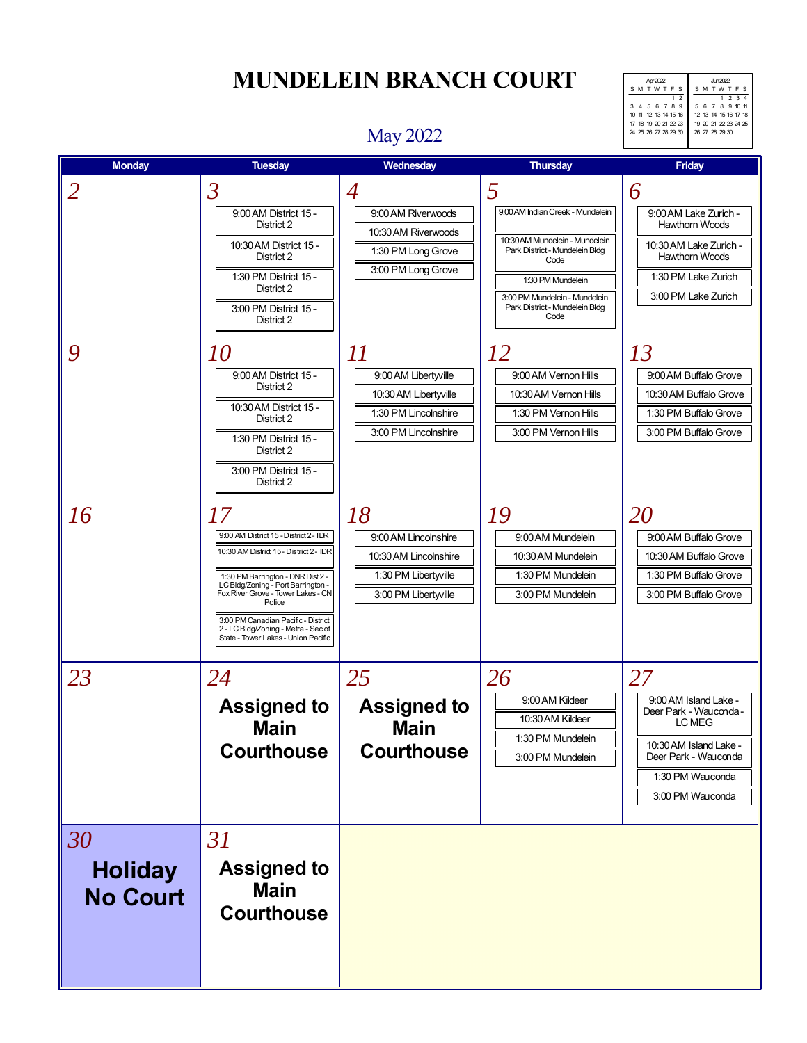SM TWT FS 1 234 5 6 7 8 9 10 11 12 13 14 15 16 17 18 19 20 21 22 23 24 25 26 27 28 29 30 4pr 2022<br>
SM TWT F S<br>
3 4 5 6 7 8 9<br>
10 11 12 13 14 15 16<br>
17 18 19 20 21 22 23<br>
24 25 26 27 28 29 30

# May 2022

| <b>Monday</b>                           | <b>Tuesday</b>                                                                                                                                                                                                                                                                                                                          | Wednesday                                                                                               | <b>Thursday</b>                                                                                                                                                                                                   | Friday                                                                                                                                                    |
|-----------------------------------------|-----------------------------------------------------------------------------------------------------------------------------------------------------------------------------------------------------------------------------------------------------------------------------------------------------------------------------------------|---------------------------------------------------------------------------------------------------------|-------------------------------------------------------------------------------------------------------------------------------------------------------------------------------------------------------------------|-----------------------------------------------------------------------------------------------------------------------------------------------------------|
| $\overline{2}$                          | $\mathfrak{Z}$<br>9:00 AM District 15 -<br>District 2<br>10:30 AM District 15 -<br>District 2<br>1:30 PM District 15 -<br>District 2<br>3:00 PM District 15 -<br>District 2                                                                                                                                                             | $\overline{4}$<br>9:00 AM Riverwoods<br>10:30 AM Riverwoods<br>1:30 PM Long Grove<br>3:00 PM Long Grove | 5<br>9:00 AM Indian Creek - Mundelein<br>10:30 AM Mundelein - Mundelein<br>Park District - Mundelein Bldg<br>Code<br>1:30 PM Mundelein<br>3:00 PM Mundelein - Mundelein<br>Park District - Mundelein Bldg<br>Code | 6<br>9:00 AM Lake Zurich -<br><b>Hawthorn Woods</b><br>10:30 AM Lake Zurich -<br><b>Hawthorn Woods</b><br>1:30 PM Lake Zurich<br>3:00 PM Lake Zurich      |
| 9                                       | <i>10</i><br>9:00 AM District 15 -<br>District 2<br>10:30 AM District 15 -<br>District 2<br>1:30 PM District 15 -<br>District 2<br>3:00 PM District 15 -<br>District 2                                                                                                                                                                  | 11<br>9:00 AM Libertyville<br>10:30 AM Libertyville<br>1:30 PM Lincolnshire<br>3:00 PM Lincolnshire     | <i>12</i><br>9:00 AM Vernon Hills<br>10:30 AM Vernon Hills<br>1:30 PM Vernon Hills<br>3:00 PM Vernon Hills                                                                                                        | 13<br>9:00 AM Buffalo Grove<br>10:30 AM Buffalo Grove<br>1:30 PM Buffalo Grove<br>3:00 PM Buffalo Grove                                                   |
| 16                                      | 17<br>9:00 AM District 15 - District 2 - IDR<br>10:30 AM District 15 - District 2 - IDR<br>1:30 PM Barrington - DNR Dist 2 -<br>LC Bldg/Zoning - Port Barrington -<br>Fox River Grove - Tower Lakes - CN<br>Police<br>3:00 PM Canadian Pacific - District<br>2 - LC Bldg/Zoning - Metra - Sec of<br>State - Tower Lakes - Union Pacific | 18<br>9:00 AM Lincolnshire<br>10:30 AM Lincolnshire<br>1:30 PM Libertyville<br>3:00 PM Libertyville     | 19<br>9:00 AM Mundelein<br>10:30 AM Mundelein<br>1:30 PM Mundelein<br>3:00 PM Mundelein                                                                                                                           | 20<br>9:00 AM Buffalo Grove<br>10:30 AM Buffalo Grove<br>1:30 PM Buffalo Grove<br>3:00 PM Buffalo Grove                                                   |
| 23                                      | 24<br><b>Assigned to</b><br><b>Main</b><br><b>Courthouse</b>                                                                                                                                                                                                                                                                            | 25<br><b>Assigned to</b><br><b>Main</b><br><b>Courthouse</b>                                            | 26<br>9:00 AM Kildeer<br>10:30 AM Kildeer<br>1:30 PM Mundelein<br>3:00 PM Mundelein                                                                                                                               | 27<br>9:00 AM Island Lake -<br>Deer Park - Wauconda -<br>LC MEG<br>10:30 AM Island Lake -<br>Deer Park - Wauconda<br>1:30 PM Wauconda<br>3:00 PM Wauconda |
| 30<br><b>Holiday</b><br><b>No Court</b> | 31<br><b>Assigned to</b><br><b>Main</b><br><b>Courthouse</b>                                                                                                                                                                                                                                                                            |                                                                                                         |                                                                                                                                                                                                                   |                                                                                                                                                           |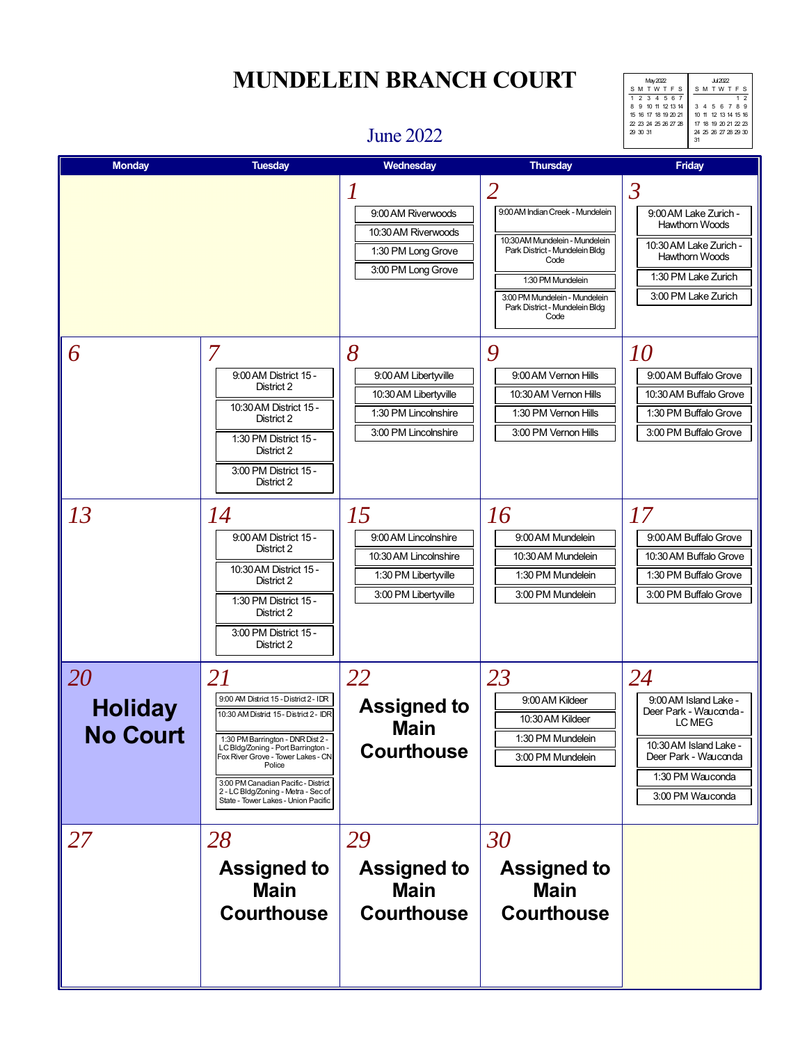# **MUNDELEIN BRANCH COURT** Julie 2022

SM TWTF 1 2 3 4 5 6 789 10 11 12 13 14 15 16 17 18 19 20 21 22 23 24 25 26 27 28 29 30 31 May 2022 SM TWT F S 1 2 3 4 567 8 9 10 11 12 13 14 15 16 17 18 19 20 21 22 23 24 25 26 27 28  $29 30 31$ 

#### June 2022

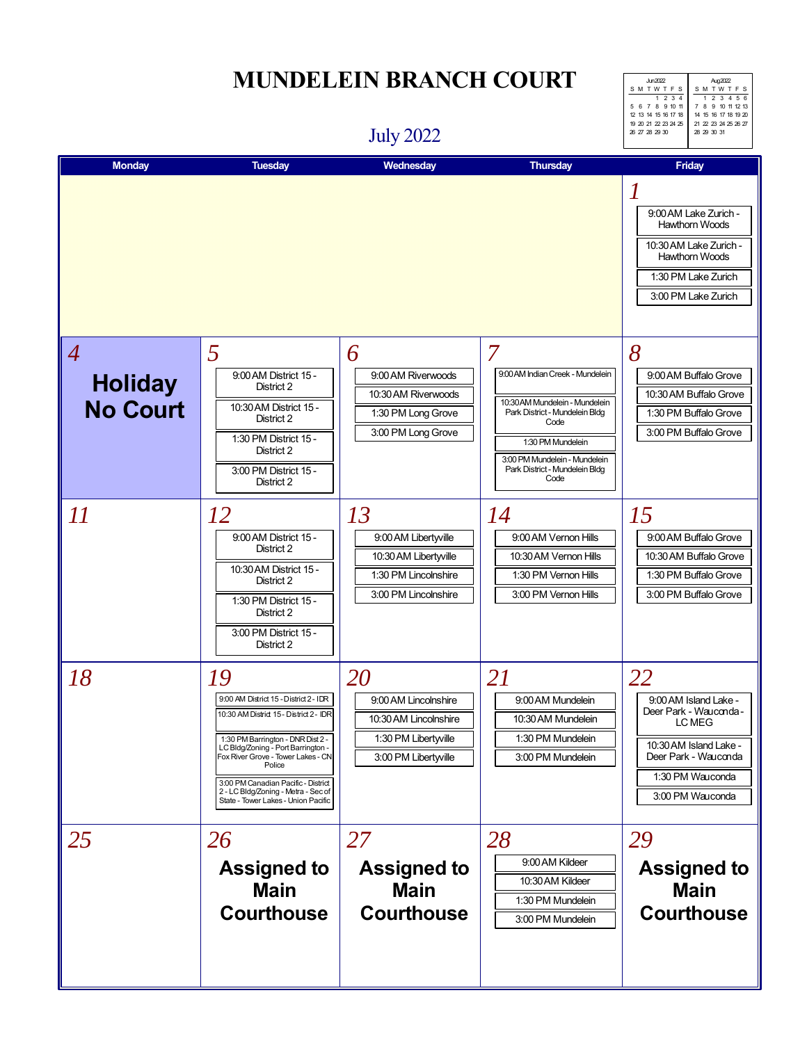# July 2022

| $\ln 2022$<br>SMTWTFS | Aug2022<br>SMTWTFS   |  |  |
|-----------------------|----------------------|--|--|
|                       |                      |  |  |
| $1 \t2 \t3 \t4$       | 1 2 3 4 5 6          |  |  |
| 5 6 7 8 9 10 11       | 7 8 9 10 11 12 13    |  |  |
| 12 13 14 15 16 17 18  | 14 15 16 17 18 19 20 |  |  |
| 19 20 21 22 23 24 25  | 21 22 23 24 25 26 27 |  |  |
| 26 27 28 29 30        | 28 29 30 31          |  |  |
|                       |                      |  |  |

| <b>Monday</b>                                       | <b>Tuesday</b>                                                                                                                                                                                                                                                                                                                          | Wednesday                                                                                           | Thursday                                                                                                                                                                                                          | Friday                                                                                                                                                    |
|-----------------------------------------------------|-----------------------------------------------------------------------------------------------------------------------------------------------------------------------------------------------------------------------------------------------------------------------------------------------------------------------------------------|-----------------------------------------------------------------------------------------------------|-------------------------------------------------------------------------------------------------------------------------------------------------------------------------------------------------------------------|-----------------------------------------------------------------------------------------------------------------------------------------------------------|
|                                                     |                                                                                                                                                                                                                                                                                                                                         |                                                                                                     |                                                                                                                                                                                                                   | 9:00 AM Lake Zurich -<br><b>Hawthorn Woods</b><br>10:30 AM Lake Zurich -<br><b>Hawthorn Woods</b><br>1:30 PM Lake Zurich<br>3:00 PM Lake Zurich           |
| $\overline{A}$<br><b>Holiday</b><br><b>No Court</b> | 5<br>9:00 AM District 15 -<br>District 2<br>10:30 AM District 15 -<br>District 2<br>1:30 PM District 15 -<br>District 2<br>3:00 PM District 15 -<br>District 2                                                                                                                                                                          | 6<br>9:00 AM Riverwoods<br>10:30 AM Riverwoods<br>1:30 PM Long Grove<br>3:00 PM Long Grove          | 7<br>9:00 AM Indian Creek - Mundelein<br>10:30 AM Mundelein - Mundelein<br>Park District - Mundelein Bldg<br>Code<br>1:30 PM Mundelein<br>3:00 PM Mundelein - Mundelein<br>Park District - Mundelein Bldg<br>Code | 8<br>9:00 AM Buffalo Grove<br>10:30 AM Buffalo Grove<br>1:30 PM Buffalo Grove<br>3:00 PM Buffalo Grove                                                    |
| 11                                                  | 12<br>9:00 AM District 15 -<br>District 2<br>10:30 AM District 15 -<br>District 2<br>1:30 PM District 15 -<br>District 2<br>3:00 PM District 15 -<br>District 2                                                                                                                                                                         | 13<br>9:00 AM Libertyville<br>10:30 AM Libertyville<br>1:30 PM Lincolnshire<br>3:00 PM Lincolnshire | 14<br>9:00 AM Vernon Hills<br>10:30 AM Vernon Hills<br>1:30 PM Vernon Hills<br>3:00 PM Vernon Hills                                                                                                               | 15<br>9:00 AM Buffalo Grove<br>10:30 AM Buffalo Grove<br>1:30 PM Buffalo Grove<br>3:00 PM Buffalo Grove                                                   |
| 18                                                  | 19<br>9:00 AM District 15 - District 2 - IDR<br>10:30 AM District 15 - District 2 - IDR<br>1:30 PM Barrington - DNR Dist 2 -<br>LC Bldg/Zoning - Port Barrington -<br>Fox River Grove - Tower Lakes - CN<br>Police<br>3:00 PM Canadian Pacific - District<br>2 - LC Bldg/Zoning - Metra - Sec of<br>State - Tower Lakes - Union Pacific | 20<br>9:00 AM Lincolnshire<br>10:30 AM Lincolnshire<br>1:30 PM Libertyville<br>3:00 PM Libertwille  | 21<br>9:00 AM Mundelein<br>10:30 AM Mundelein<br>1:30 PM Mundelein<br>3:00 PM Mundelein                                                                                                                           | 22<br>9:00 AM Island Lake -<br>Deer Park - Wauconda -<br>LC MEG<br>10:30 AM Island Lake -<br>Deer Park - Wauconda<br>1:30 PM Wauconda<br>3:00 PM Wauconda |
| 25                                                  | 26<br><b>Assigned to</b><br><b>Main</b><br><b>Courthouse</b>                                                                                                                                                                                                                                                                            | 27<br><b>Assigned to</b><br><b>Main</b><br><b>Courthouse</b>                                        | 28<br>9:00 AM Kildeer<br>10:30 AM Kildeer<br>1:30 PM Mundelein<br>3:00 PM Mundelein                                                                                                                               | 29<br><b>Assigned to</b><br><b>Main</b><br><b>Courthouse</b>                                                                                              |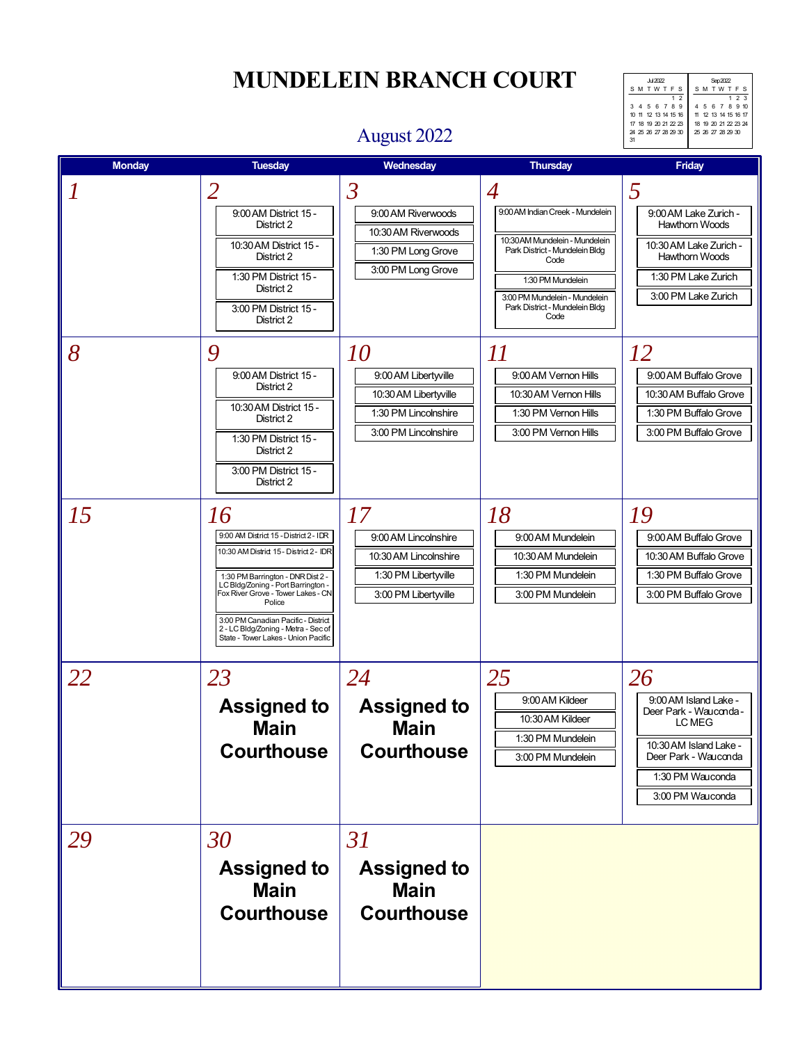# **MUNDELEIN BRANCH COURT** SARCE SACRY

SM TWTF 123 4 5 6 7 8 9 10 11 12 13 14 15 16 17 18 19 20 21 22 23 24 25 26 27 28 29 30 Jul 2022 SM TWTF 1 2 3 4 5 6 789 10 11 12 13 14 15 16 17 18 19 20 21 22 23 24 25 26 27 28 29 30 31

### August 2022

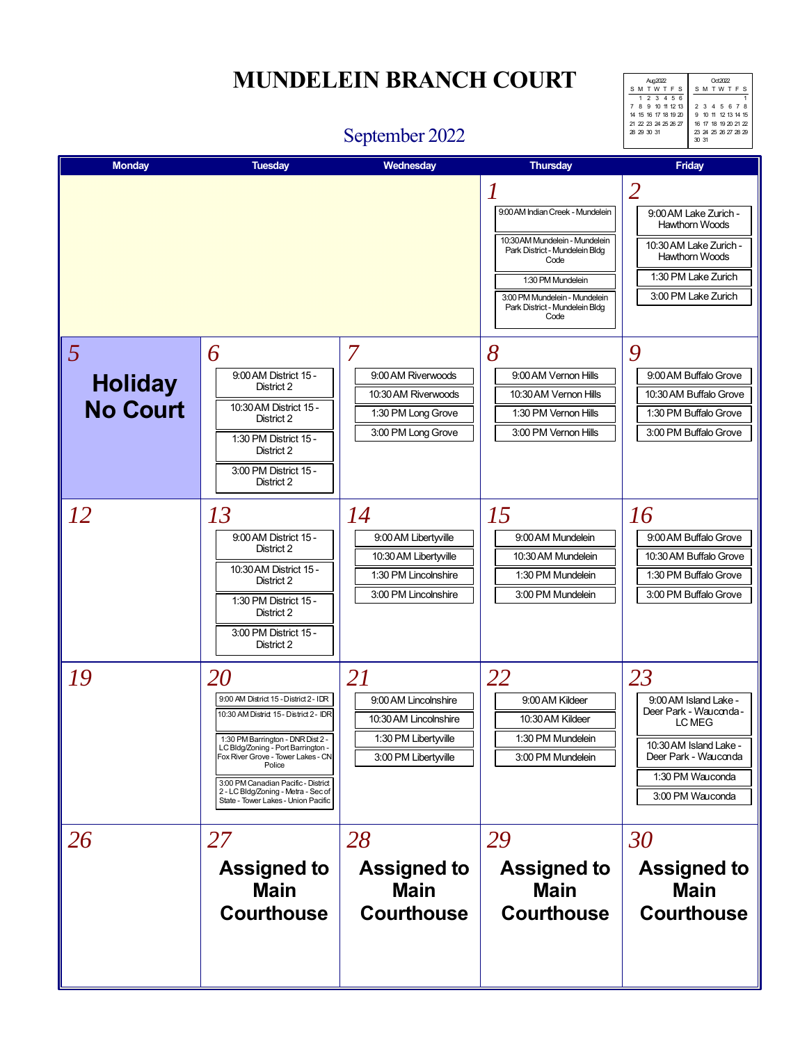### **MUNDELEIN BRANCH COURT** Agaze and  $\overline{C}$

SM TWTF 1 2 3 4 5 678 9 10 11 12 13 14 15 16 17 18 19 20 21 22 23 24 25 26 27 28 29 30 31 Aug 2022 SM TWT F S 1 2 3 456 7 8 9 10 11 12 13 14 15 16 17 18 19 20 21 22 23 24 25 26 27  $28$   $29$   $30$   $31$ 

#### September 2022

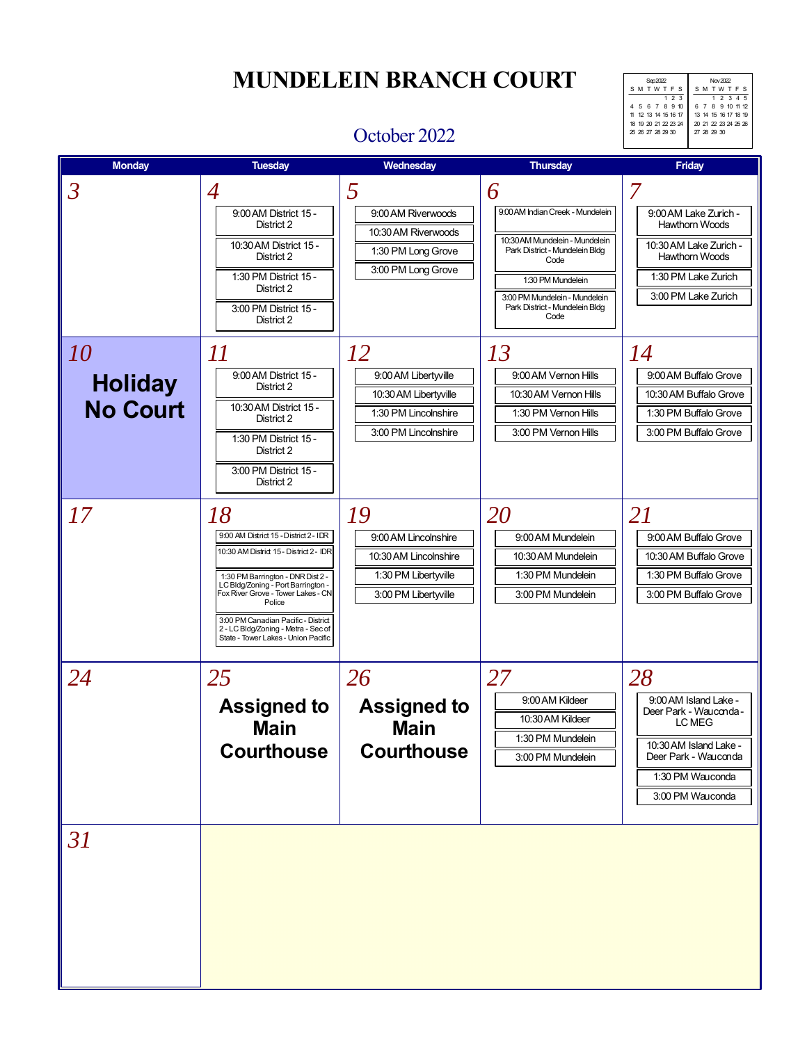SM TWT FS 1 2 345 6 7 8 9 10 11 12 13 14 15 16 17 18 19 20 21 22 23 24 25 26  $27, 28, 29, 30$ Sep 2022 S M T W T F 123 4 5 6 7 8 9 10 11 12 13 14 15 16 17 18 19 20 21 22 23 24 25 26 27 28 29 30

### October 2022

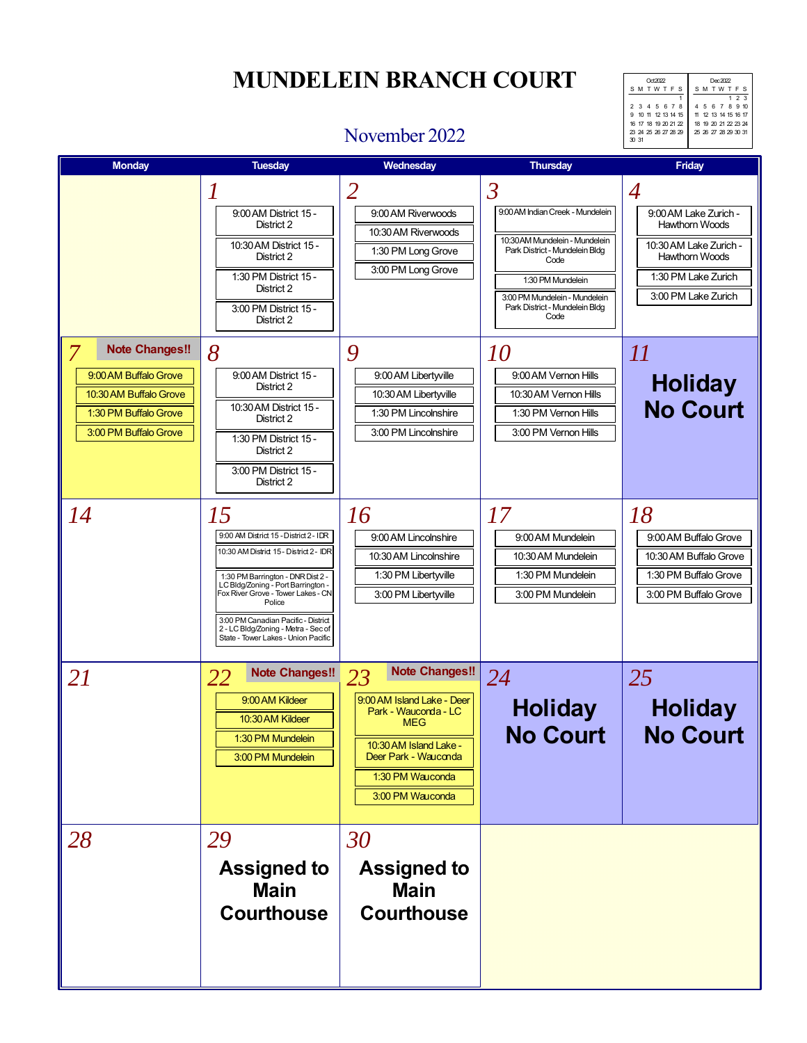SM TWTF 123 4 5 6 7 8 9 10 11 12 13 14 15 16 17 18 19 20 21 22 23 24 25 26 27 28 29 30 31 Oct 2022 SM TWTF 1 2 3 4 5 678 9 10 11 12 13 14 15 16 17 18 19 20 21 22 23 24 25 26 27 28 29 30 31

### November 2022